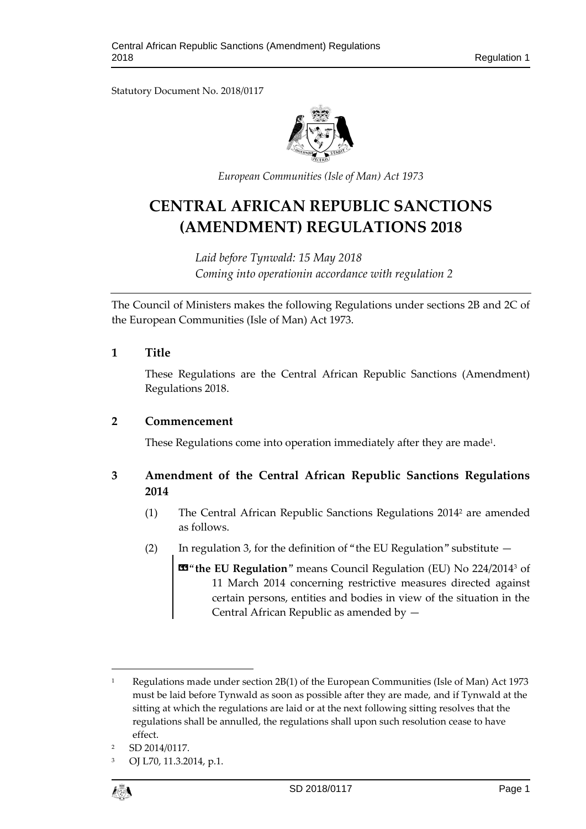Statutory Document No. 2018/0117



*European Communities (Isle of Man) Act 1973*

# **CENTRAL AFRICAN REPUBLIC SANCTIONS (AMENDMENT) REGULATIONS 2018**

*Laid before Tynwald: 15 May 2018 Coming into operationin accordance with regulation 2*

The Council of Ministers makes the following Regulations under sections 2B and 2C of the European Communities (Isle of Man) Act 1973.

## **1 Title**

These Regulations are the Central African Republic Sanctions (Amendment) Regulations 2018.

### **2 Commencement**

These Regulations come into operation immediately after they are made<sup>1</sup>.

# **3 Amendment of the Central African Republic Sanctions Regulations 2014**

- (1) The Central African Republic Sanctions Regulations 2014<sup>2</sup> are amended as follows.
- (2) In regulation 3, for the definition of "the EU Regulation" substitute  $-$ 
	- «"**the EU Regulation**" means Council Regulation (EU) No 224/2014<sup>3</sup> of 11 March 2014 concerning restrictive measures directed against certain persons, entities and bodies in view of the situation in the Central African Republic as amended by —

$$
\ell_{\text{max}}^{\text{min}}
$$

1

<sup>&</sup>lt;sup>1</sup> Regulations made under section 2B(1) of the European Communities (Isle of Man) Act 1973 must be laid before Tynwald as soon as possible after they are made, and if Tynwald at the sitting at which the regulations are laid or at the next following sitting resolves that the regulations shall be annulled, the regulations shall upon such resolution cease to have effect.

<sup>2</sup> SD 2014/0117.

<sup>3</sup> OJ L70, 11.3.2014, p.1.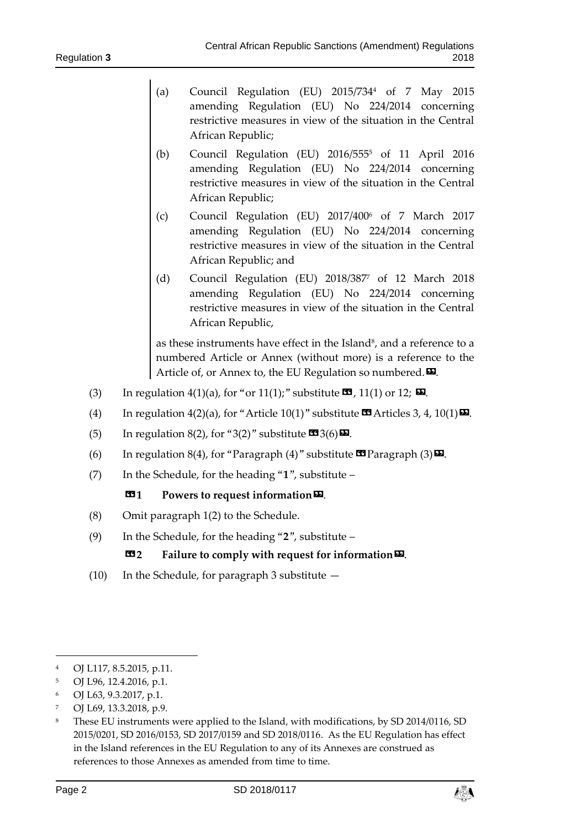- (a) Council Regulation (EU)  $2015/734^4$  of 7 May 2015 amending Regulation (EU) No 224/2014 concerning restrictive measures in view of the situation in the Central African Republic;
- (b) Council Regulation (EU) 2016/555<sup>5</sup> of 11 April 2016 amending Regulation (EU) No 224/2014 concerning restrictive measures in view of the situation in the Central African Republic;
- (c) Council Regulation (EU) 2017/400<sup>6</sup> of 7 March 2017 amending Regulation (EU) No 224/2014 concerning restrictive measures in view of the situation in the Central African Republic; and
- (d) Council Regulation (EU) 2018/387<sup>7</sup> of 12 March 2018 amending Regulation (EU) No 224/2014 concerning restrictive measures in view of the situation in the Central African Republic,

as these instruments have effect in the Island<sup>8</sup>, and a reference to a numbered Article or Annex (without more) is a reference to the Article of, or Annex to, the EU Regulation so numbered. $\boldsymbol{\mathsf{\Xi}}$ .

- (3) In regulation 4(1)(a), for "or 11(1);" substitute  $\mathbb{S}$ , 11(1) or 12;  $\mathbb{S}$ .
- (4) In regulation 4(2)(a), for "Article 10(1)" substitute  $\mathbf{C}$  Articles 3, 4, 10(1) $\mathbf{D}$ .
- (5) In regulation 8(2), for "3(2)" substitute  $\mathbf{3}$  3(6)  $\mathbf{E}$ .
- (6) In regulation 8(4), for "Paragraph (4)" substitute  $\mathbf{\Omega}$  Paragraph (3)  $\mathbf{\Sigma}$ .
- (7) In the Schedule, for the heading "**1**", substitute –

#### **131** Powers to request information  $\boldsymbol{\mathsf{E}}$ .

- (8) Omit paragraph 1(2) to the Schedule.
- (9) In the Schedule, for the heading "**2**", substitute –

#### **1312 Failure to comply with request for information**

(10) In the Schedule, for paragraph 3 substitute —

- <sup>5</sup> OJ L96, 12.4.2016, p.1.
- <sup>6</sup> OJ L63, 9.3.2017, p.1.
- <sup>7</sup> OJ L69, 13.3.2018, p.9.

-



<sup>4</sup> OJ L117, 8.5.2015, p.11.

<sup>8</sup> These EU instruments were applied to the Island, with modifications, by SD 2014/0116, SD 2015/0201, SD 2016/0153, SD 2017/0159 and SD 2018/0116. As the EU Regulation has effect in the Island references in the EU Regulation to any of its Annexes are construed as references to those Annexes as amended from time to time.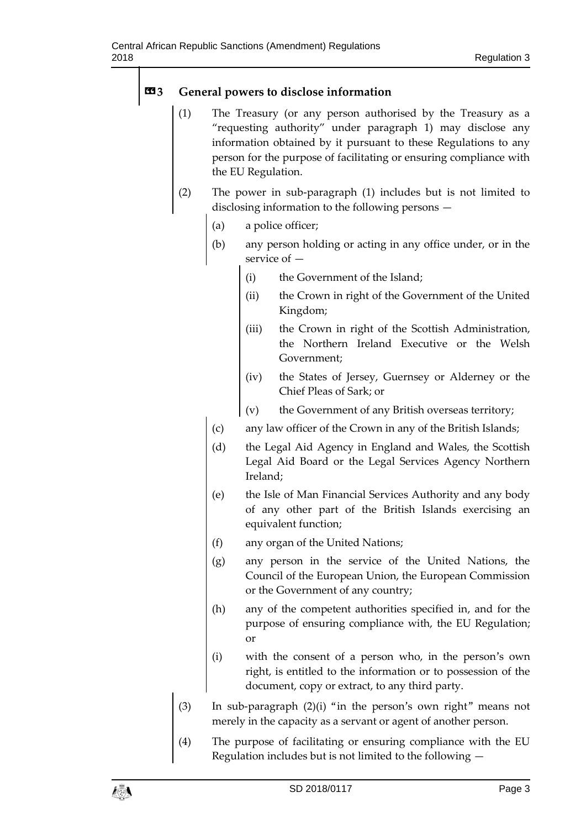## **«3 General powers to disclose information**

- (1) The Treasury (or any person authorised by the Treasury as a "requesting authority" under paragraph 1) may disclose any information obtained by it pursuant to these Regulations to any person for the purpose of facilitating or ensuring compliance with the EU Regulation.
- (2) The power in sub-paragraph (1) includes but is not limited to disclosing information to the following persons —
	- (a) a police officer;
	- (b) any person holding or acting in any office under, or in the service of —
		- (i) the Government of the Island;
		- (ii) the Crown in right of the Government of the United Kingdom;
		- (iii) the Crown in right of the Scottish Administration, the Northern Ireland Executive or the Welsh Government;
		- (iv) the States of Jersey, Guernsey or Alderney or the Chief Pleas of Sark; or
		- (v) the Government of any British overseas territory;
	- (c) any law officer of the Crown in any of the British Islands;
	- (d) the Legal Aid Agency in England and Wales, the Scottish Legal Aid Board or the Legal Services Agency Northern Ireland;
	- (e) the Isle of Man Financial Services Authority and any body of any other part of the British Islands exercising an equivalent function;
	- (f) any organ of the United Nations;
	- (g) any person in the service of the United Nations, the Council of the European Union, the European Commission or the Government of any country;
	- (h) any of the competent authorities specified in, and for the purpose of ensuring compliance with, the EU Regulation; or
	- (i) with the consent of a person who, in the person's own right, is entitled to the information or to possession of the document, copy or extract, to any third party.
- (3) In sub-paragraph (2)(i) "in the person's own right" means not merely in the capacity as a servant or agent of another person.
- (4) The purpose of facilitating or ensuring compliance with the EU Regulation includes but is not limited to the following —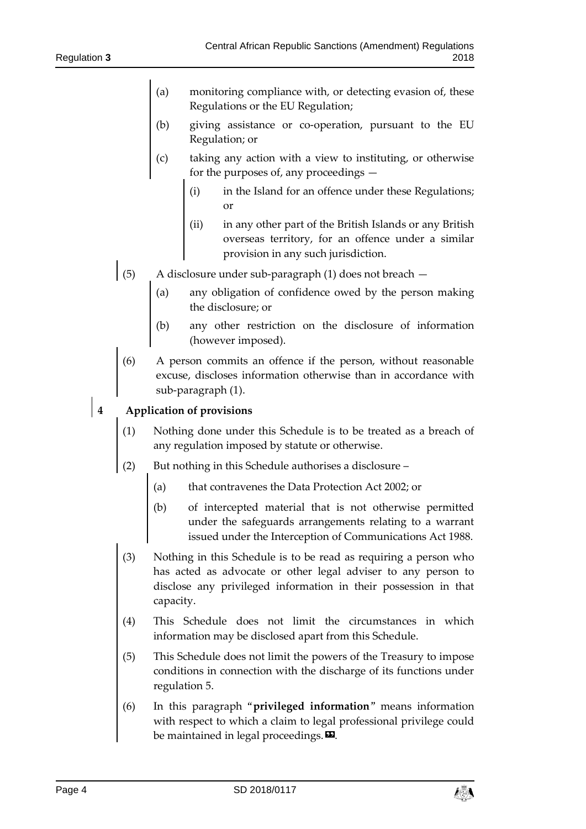- monitoring compliance with, or detecting evasion of, these Regulations or the EU Regulation;
- giving assistance or co-operation, pursuant to the EU Regulation; or
- taking any action with a view to instituting, or otherwise for the purposes of, any proceedings —
	- (i) in the Island for an offence under these Regulations; or
	- in any other part of the British Islands or any British overseas territory, for an offence under a similar provision in any such jurisdiction.
- (5) A disclosure under sub-paragraph (1) does not breach
	- (a) any obligation of confidence owed by the person making the disclosure; or
	- any other restriction on the disclosure of information (however imposed).
	- (6) A person commits an offence if the person, without reasonable excuse, discloses information otherwise than in accordance with sub-paragraph (1).

**4 Application of provisions**

- (1) Nothing done under this Schedule is to be treated as a breach of any regulation imposed by statute or otherwise.
- (2) But nothing in this Schedule authorises a disclosure
	- (a) that contravenes the Data Protection Act 2002; or
	- (b) of intercepted material that is not otherwise permitted under the safeguards arrangements relating to a warrant issued under the Interception of Communications Act 1988.
- (3) Nothing in this Schedule is to be read as requiring a person who has acted as advocate or other legal adviser to any person to disclose any privileged information in their possession in that capacity.
- (4) This Schedule does not limit the circumstances in which information may be disclosed apart from this Schedule.
- (5) This Schedule does not limit the powers of the Treasury to impose conditions in connection with the discharge of its functions under regulation 5.
- (6) In this paragraph "**privileged information**" means information with respect to which a claim to legal professional privilege could be maintained in legal proceedings. $\mathbf{D}$ .

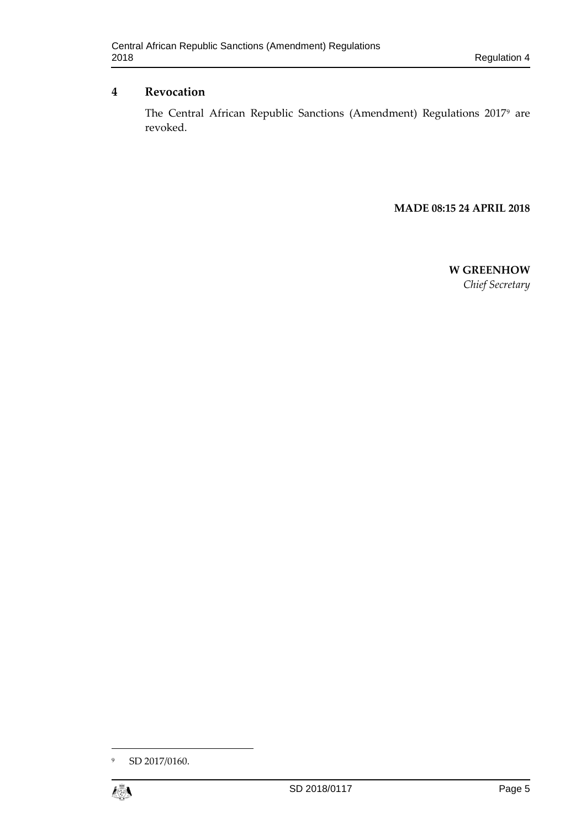# **4 Revocation**

The Central African Republic Sanctions (Amendment) Regulations 2017<sup>9</sup> are revoked.

**MADE 08:15 24 APRIL 2018**

**W GREENHOW** *Chief Secretary*

<sup>9</sup> SD 2017/0160.



1